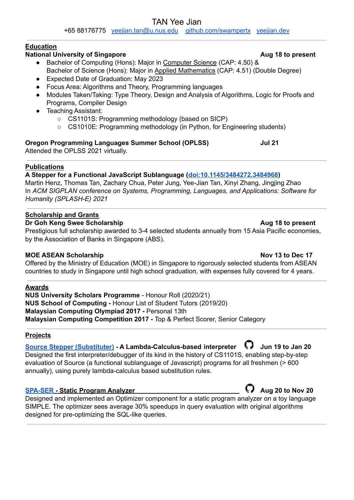#### TAN Yee Jian

+65 88176775 [yeejian.tan@u.nus.edu](mailto:yeejian.tan@u.nus.edu) [github.com/swampertx](https://github.com/SwampertX) [yeejian.dev](https://yeejian.dev/)

#### **Education**

# **National University of Singapore Aug 18 Let us a set of**  $\mathbb{R}^n$  **<b>Aug 18 to** present

- Bachelor of Computing (Hons): Major in Computer Science (CAP: 4.50) & Bachelor of Science (Hons): Major in Applied Mathematics (CAP: 4.51) (Double Degree)
- Expected Date of Graduation: May 2023
- Focus Area: Algorithms and Theory, Programming languages
- Modules Taken/Taking: Type Theory, Design and Analysis of Algorithms, Logic for Proofs and Programs, Compiler Design
- Teaching Assistant:
	- CS1101S: Programming methodology (based on SICP)
	- CS1010E: Programming methodology (in Python, for Engineering students)

### **Oregon Programming Languages Summer School (OPLSS) Jul 21**

Attended the OPLSS 2021 virtually.

# **Publications**

# **A Stepper for a Functional JavaScript Sublanguage ([doi:10.1145/3484272.3484968](https://dl.acm.org/doi/10.1145/3484272.3484968))**

Martin Henz, Thomas Tan, Zachary Chua, Peter Jung, Yee-Jian Tan, Xinyi Zhang, Jingjing Zhao In *ACM SIGPLAN conference on Systems, Programming, Languages, and Applications: Software for Humanity (SPLASH-E) 2021*

### **Scholarship and Grants**

### **Dr** Goh Keng Swee Scholarship **Aug** 18 to present

Prestigious full scholarship awarded to 3-4 selected students annually from 15 Asia Pacific economies, by the Association of Banks in Singapore (ABS).

# **MOE ASEAN Scholarship Nov 13 to Dec 17**

Offered by the Ministry of Education (MOE) in Singapore to rigorously selected students from ASEAN countries to study in Singapore until high school graduation, with expenses fully covered for 4 years.

# **Awards**

**NUS University Scholars Programme** - Honour Roll (2020/21) **NUS School of Computing -** Honour List of Student Tutors (2019/20) **Malaysian Computing Olympiad 2017 -** Personal 13th **Malaysian Computing Competition 2017 -** Top & Perfect Scorer, Senior Category

# **Projects**

#### **Source Stepper [\(Substituter\)](https://sourceacademy.nus.edu.sg/playground) - A Lambda-Calculus-based interpreter Jun 19 to Jan 20** Designed the first interpreter/debugger of its kind in the history of CS1101S, enabling step-by-step

evaluation of Source (a functional sublanguage of Javascript) programs for all freshmen (> 600 annually), using purely lambda-calculus based substitution rules.

# **[SPA-SER](https://github.com/SimpleProgramAnalyser/spa) - Static Program Analyzer Aug 20 to Nov 20**

Designed and implemented an Optimizer component for a static program analyzer on a toy language SIMPLE. The optimizer sees average 30% speedups in query evaluation with original algorithms designed for pre-optimizing the SQL-like queries.